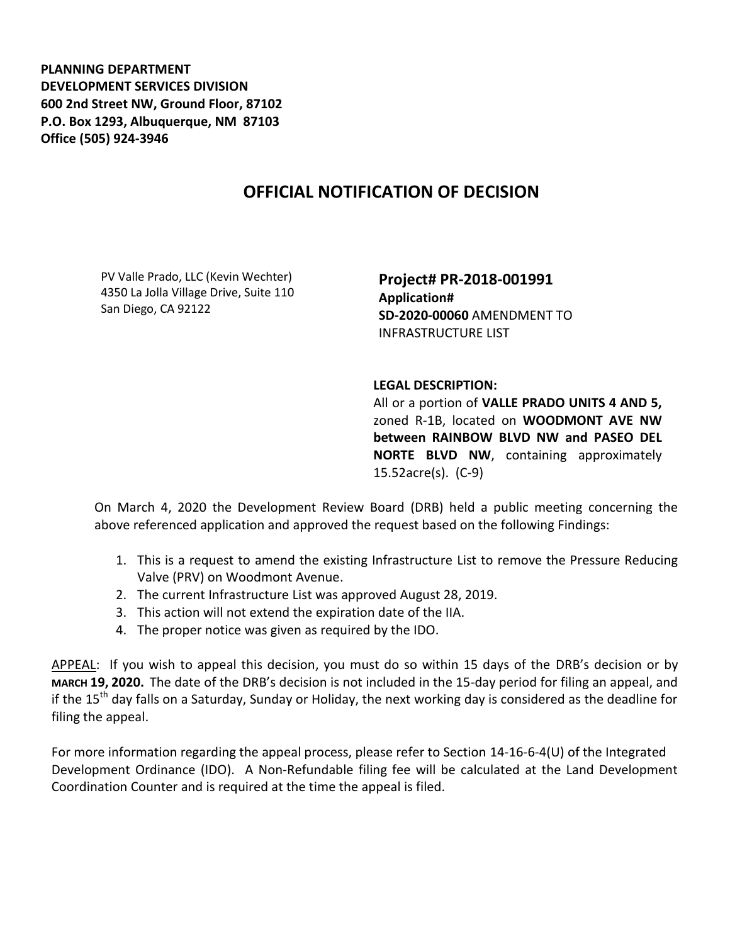**PLANNING DEPARTMENT DEVELOPMENT SERVICES DIVISION 600 2nd Street NW, Ground Floor, 87102 P.O. Box 1293, Albuquerque, NM 87103 Office (505) 924-3946** 

## **OFFICIAL NOTIFICATION OF DECISION**

PV Valle Prado, LLC (Kevin Wechter) 4350 La Jolla Village Drive, Suite 110 San Diego, CA 92122

**Project# PR-2018-001991 Application# SD-2020-00060** AMENDMENT TO INFRASTRUCTURE LIST

## **LEGAL DESCRIPTION:**

All or a portion of **VALLE PRADO UNITS 4 AND 5,**  zoned R-1B, located on **WOODMONT AVE NW between RAINBOW BLVD NW and PASEO DEL NORTE BLVD NW**, containing approximately 15.52acre(s). (C-9)

On March 4, 2020 the Development Review Board (DRB) held a public meeting concerning the above referenced application and approved the request based on the following Findings:

- 1. This is a request to amend the existing Infrastructure List to remove the Pressure Reducing Valve (PRV) on Woodmont Avenue.
- 2. The current Infrastructure List was approved August 28, 2019.
- 3. This action will not extend the expiration date of the IIA.
- 4. The proper notice was given as required by the IDO.

APPEAL: If you wish to appeal this decision, you must do so within 15 days of the DRB's decision or by **MARCH 19, 2020.** The date of the DRB's decision is not included in the 15-day period for filing an appeal, and if the 15<sup>th</sup> day falls on a Saturday, Sunday or Holiday, the next working day is considered as the deadline for filing the appeal.

For more information regarding the appeal process, please refer to Section 14-16-6-4(U) of the Integrated Development Ordinance (IDO). A Non-Refundable filing fee will be calculated at the Land Development Coordination Counter and is required at the time the appeal is filed.